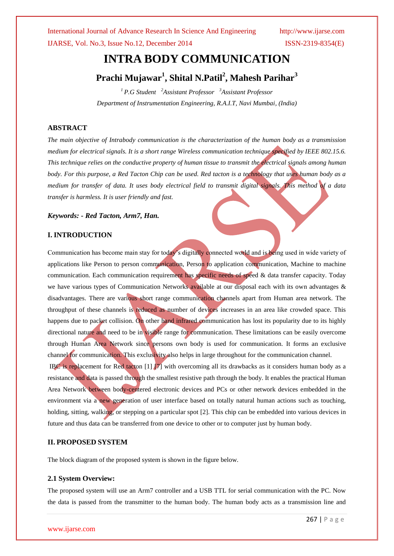International Journal of Advance Research In Science And Engineering http://www.ijarse.com IJARSE, Vol. No.3, Issue No.12, December 2014 ISSN-2319-8354(E)

# **INTRA BODY COMMUNICATION**

# **Prachi Mujawar<sup>1</sup> , Shital N.Patil<sup>2</sup> , Mahesh Parihar<sup>3</sup>**

*<sup>1</sup> P.G Student <sup>2</sup>Assistant Professor <sup>3</sup>Assistant Professor Department of Instrumentation Engineering, R.A.I.T, Navi Mumbai, (India)*

### **ABSTRACT**

*The main objective of Intrabody communication is the characterization of the human body as a transmission medium for electrical signals. It is a short range Wireless communication technique specified by IEEE 802.15.6. This technique relies on the conductive property of human tissue to transmit the electrical signals among human body. For this purpose, a Red Tacton Chip can be used. Red tacton is a technology that uses human body as a medium for transfer of data. It uses body electrical field to transmit digital signals. This method of a data transfer is harmless. It is user friendly and fast.*

#### *Keywords: - Red Tacton, Arm7, Han.*

### **I. INTRODUCTION**

Communication has become main stay for today's digitally connected world and is being used in wide variety of applications like Person to person communication, Person to application communication, Machine to machine communication. Each communication requirement has specific needs of speed & data transfer capacity. Today we have various types of Communication Networks available at our disposal each with its own advantages & disadvantages. There are various short range communication channels apart from Human area network. The throughput of these channels is reduced as number of devices increases in an area like crowded space. This happens due to packet collision. On other hand infrared communication has lost its popularity due to its highly directional nature and need to be in visible range for communication. These limitations can be easily overcome through Human Area Network since persons own body is used for communication. It forms an exclusive channel for communication. This exclusivity also helps in large throughout for the communication channel.

IBC is replacement for Red tacton  $[1]$   $[7]$  with overcoming all its drawbacks as it considers human body as a resistance and data is passed through the smallest resistive path through the body. It enables the practical Human Area Network between body-centered electronic devices and PCs or other network devices embedded in the environment via a new generation of user interface based on totally natural human actions such as touching, holding, sitting, walking, or stepping on a particular spot [2]. This chip can be embedded into various devices in future and thus data can be transferred from one device to other or to computer just by human body.

#### **II. PROPOSED SYSTEM**

The block diagram of the proposed system is shown in the figure below.

#### **2.1 System Overview:**

The proposed system will use an Arm7 controller and a USB TTL for serial communication with the PC. Now the data is passed from the transmitter to the human body. The human body acts as a transmission line and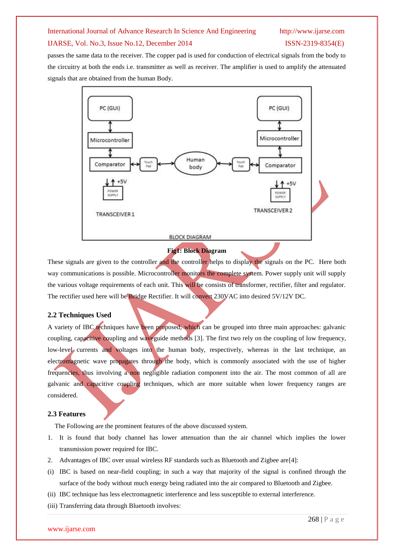### IJARSE, Vol. No.3, Issue No.12, December 2014 ISSN-2319-8354(E)

passes the same data to the receiver. The copper pad is used for conduction of electrical signals from the body to the circuitry at both the ends i.e. transmitter as well as receiver. The amplifier is used to amplify the attenuated signals that are obtained from the human Body.



## **Fig1: Block Diagram**

These signals are given to the controller and the controller helps to display the signals on the PC. Here both way communications is possible. Microcontroller monitors the complete system. Power supply unit will supply the various voltage requirements of each unit. This will be consists of transformer, rectifier, filter and regulator. The rectifier used here will be Bridge Rectifier. It will convert 230VAC into desired 5V/12V DC.

#### **2.2 Techniques Used**

A variety of IBC techniques have been proposed, which can be grouped into three main approaches: galvanic coupling, capacitive coupling and waveguide methods [3]. The first two rely on the coupling of low frequency, low-level currents and voltages into the human body, respectively, whereas in the last technique, an electromagnetic wave propagates through the body, which is commonly associated with the use of higher frequencies, thus involving a non negligible radiation component into the air. The most common of all are galvanic and capacitive coupling techniques, which are more suitable when lower frequency ranges are considered.

#### **2.3 Features**

The Following are the prominent features of the above discussed system.

- 1. It is found that body channel has lower attenuation than the air channel which implies the lower transmission power required for IBC.
- 2. Advantages of IBC over usual wireless RF standards such as Bluetooth and Zigbee are[4]:
- (i) IBC is based on near-field coupling; in such a way that majority of the signal is confined through the surface of the body without much energy being radiated into the air compared to Bluetooth and Zigbee.
- (ii) IBC technique has less electromagnetic interference and less susceptible to external interference.
- (iii) Transferring data through Bluetooth involves: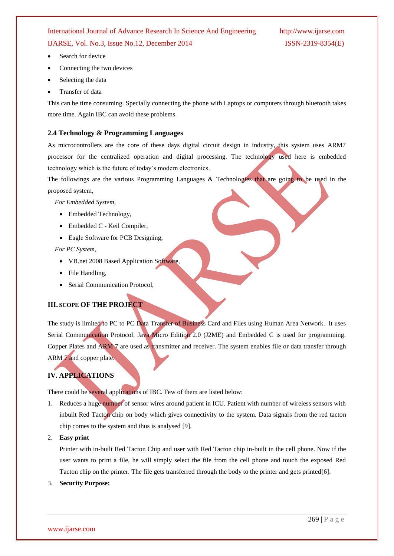IJARSE, Vol. No.3, Issue No.12, December 2014 ISSN-2319-8354(E)

- Search for device
- Connecting the two devices
- Selecting the data
- Transfer of data

This can be time consuming. Specially connecting the phone with Laptops or computers through bluetooth takes more time. Again IBC can avoid these problems.

#### **2.4 Technology & Programming Languages**

As microcontrollers are the core of these days digital circuit design in industry, this system uses ARM7 processor for the centralized operation and digital processing. The technology used here is embedded technology which is the future of today's modern electronics.

The followings are the various Programming Languages & Technologies that are going to be used in the proposed system,

*For Embedded System,*

- Embedded Technology,
- Embedded C Keil Compiler,
- Eagle Software for PCB Designing,

*For PC System,*

- VB.net 2008 Based Application Software,
- File Handling,
- Serial Communication Protocol,

### **III. SCOPE OF THE PROJECT**

The study is limited to PC to PC Data Transfer of Business Card and Files using Human Area Network. It uses Serial Communication Protocol. Java Micro Edition 2.0 (J2ME) and Embedded C is used for programming. Copper Plates and ARM 7 are used as transmitter and receiver. The system enables file or data transfer through ARM 7 and copper plate.

## **IV. APPLICATIONS**

There could be several applications of IBC. Few of them are listed below:

- 1. Reduces a huge number of sensor wires around patient in ICU. Patient with number of wireless sensors with inbuilt Red Tacton chip on body which gives connectivity to the system. Data signals from the red tacton chip comes to the system and thus is analysed [9].
- 2. **Easy print**

Printer with in-built Red Tacton Chip and user with Red Tacton chip in-built in the cell phone. Now if the user wants to print a file, he will simply select the file from the cell phone and touch the exposed Red Tacton chip on the printer. The file gets transferred through the body to the printer and gets printed[6].

3. **Security Purpose:**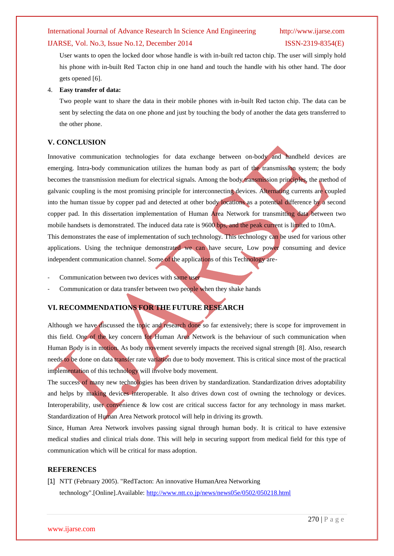#### IJARSE, Vol. No.3, Issue No.12, December 2014 ISSN-2319-8354(E)

User wants to open the locked door whose handle is with in-built red tacton chip. The user will simply hold his phone with in-built Red Tacton chip in one hand and touch the handle with his other hand. The door gets opened [6].

#### 4. **Easy transfer of data:**

Two people want to share the data in their mobile phones with in-built Red tacton chip. The data can be sent by selecting the data on one phone and just by touching the body of another the data gets transferred to the other phone.

#### **V. CONCLUSION**

Innovative communication technologies for data exchange between on-body and handheld devices are emerging. Intra-body communication utilizes the human body as part of the transmission system; the body becomes the transmission medium for electrical signals. Among the body transmission principles, the method of galvanic coupling is the most promising principle for interconnecting devices. Alternating currents are coupled into the human tissue by copper pad and detected at other body locations as a potential difference by a second copper pad. In this dissertation implementation of Human Area Network for transmitting data between two mobile handsets is demonstrated. The induced data rate is 9600 bps, and the peak current is limited to 10mA. This demonstrates the ease of implementation of such technology. This technology can be used for various other applications. Using the technique demonstrated we can have secure, Low power consuming and device independent communication channel. Some of the applications of this Technology are-

- Communication between two devices with same user
- Communication or data transfer between two people when they shake hands

# **VI. RECOMMENDATIONS FOR THE FUTURE RESEARCH**

Although we have discussed the topic and research done so far extensively; there is scope for improvement in this field. One of the key concern for Human Area Network is the behaviour of such communication when Human Body is in motion. As body movement severely impacts the received signal strength [8]. Also, research needs to be done on data transfer rate variation due to body movement. This is critical since most of the practical implementation of this technology will involve body movement.

The success of many new technologies has been driven by standardization. Standardization drives adoptability and helps by making devices interoperable. It also drives down cost of owning the technology or devices. Interoperability, user convenience & low cost are critical success factor for any technology in mass market. Standardization of Human Area Network protocol will help in driving its growth.

Since, Human Area Network involves passing signal through human body. It is critical to have extensive medical studies and clinical trials done. This will help in securing support from medical field for this type of communication which will be critical for mass adoption.

#### **REFERENCES**

[1] NTT (February 2005). "RedTacton: An innovative HumanArea Networking technology".[Online].Available: <http://www.ntt.co.jp/news/news05e/0502/050218.html>